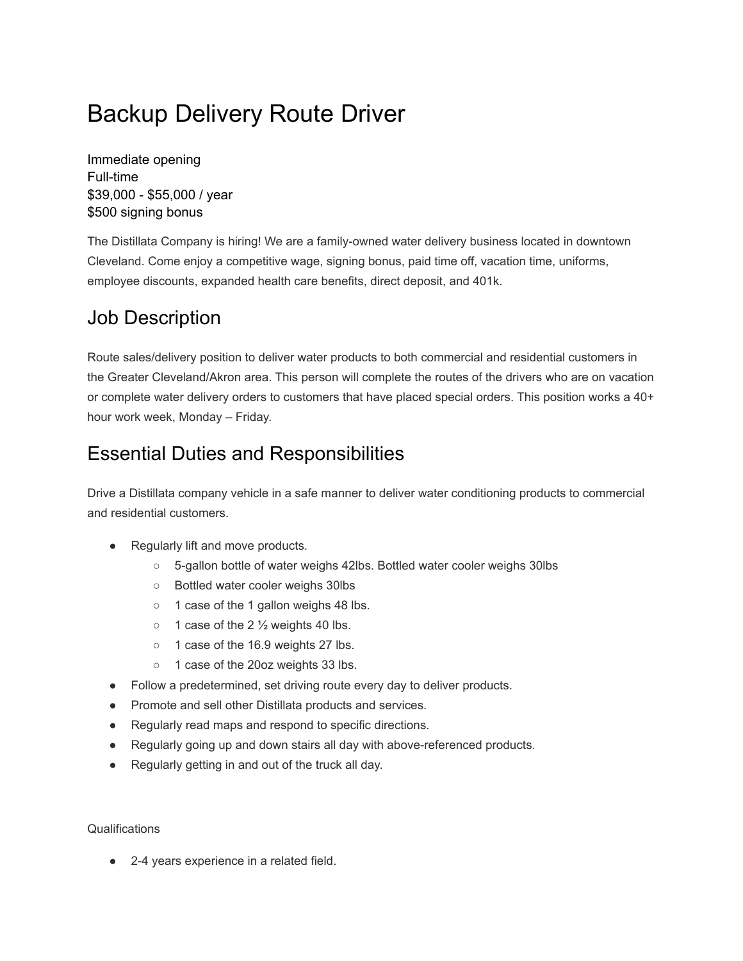# Backup Delivery Route Driver

Immediate opening Full-time \$39,000 - \$55,000 / year \$500 signing bonus

The Distillata Company is hiring! We are a family-owned water delivery business located in downtown Cleveland. Come enjoy a competitive wage, signing bonus, paid time off, vacation time, uniforms, employee discounts, expanded health care benefits, direct deposit, and 401k.

# Job Description

Route sales/delivery position to deliver water products to both commercial and residential customers in the Greater Cleveland/Akron area. This person will complete the routes of the drivers who are on vacation or complete water delivery orders to customers that have placed special orders. This position works a 40+ hour work week, Monday – Friday.

## Essential Duties and Responsibilities

Drive a Distillata company vehicle in a safe manner to deliver water conditioning products to commercial and residential customers.

- Regularly lift and move products.
	- 5-gallon bottle of water weighs 42lbs. Bottled water cooler weighs 30lbs
	- Bottled water cooler weighs 30lbs
	- 1 case of the 1 gallon weighs 48 lbs.
	- $\circ$  1 case of the 2  $\frac{1}{2}$  weights 40 lbs.
	- 1 case of the 16.9 weights 27 lbs.
	- 1 case of the 20oz weights 33 lbs.
- Follow a predetermined, set driving route every day to deliver products.
- Promote and sell other Distillata products and services.
- Regularly read maps and respond to specific directions.
- Regularly going up and down stairs all day with above-referenced products.
- Regularly getting in and out of the truck all day.

**Qualifications** 

● 2-4 years experience in a related field.